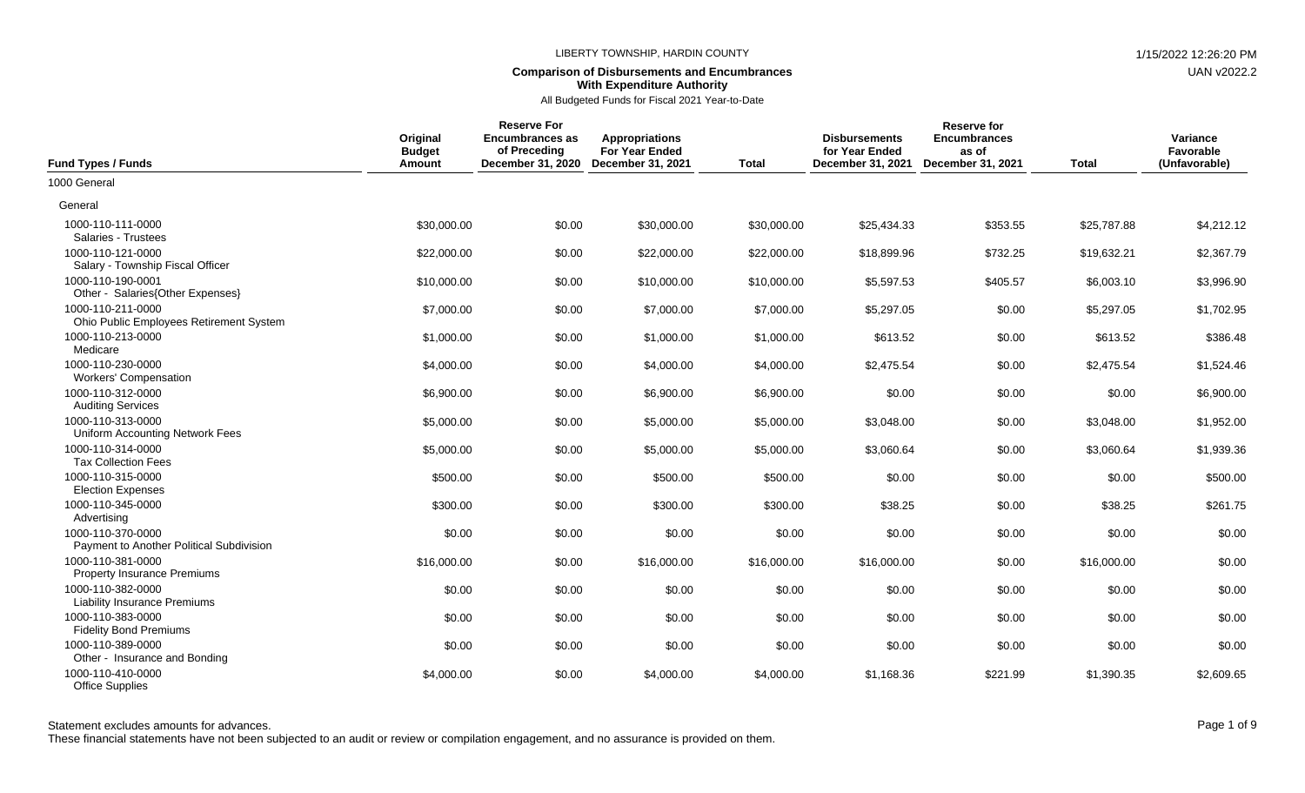### **Comparison of Disbursements and Encumbrances With Expenditure Authority**

All Budgeted Funds for Fiscal 2021 Year-to-Date

| <b>Fund Types / Funds</b>                                     | Original<br><b>Budget</b><br>Amount | <b>Reserve For</b><br><b>Encumbrances as</b><br>of Preceding<br>December 31, 2020 | <b>Appropriations</b><br><b>For Year Ended</b><br>December 31, 2021 | <b>Total</b> | <b>Disbursements</b><br>for Year Ended<br>December 31, 2021 | <b>Reserve for</b><br><b>Encumbrances</b><br>as of<br>December 31, 2021 | <b>Total</b> | Variance<br>Favorable<br>(Unfavorable) |
|---------------------------------------------------------------|-------------------------------------|-----------------------------------------------------------------------------------|---------------------------------------------------------------------|--------------|-------------------------------------------------------------|-------------------------------------------------------------------------|--------------|----------------------------------------|
| 1000 General                                                  |                                     |                                                                                   |                                                                     |              |                                                             |                                                                         |              |                                        |
| General                                                       |                                     |                                                                                   |                                                                     |              |                                                             |                                                                         |              |                                        |
| 1000-110-111-0000<br>Salaries - Trustees                      | \$30,000.00                         | \$0.00                                                                            | \$30,000.00                                                         | \$30,000.00  | \$25,434.33                                                 | \$353.55                                                                | \$25,787.88  | \$4,212.12                             |
| 1000-110-121-0000<br>Salary - Township Fiscal Officer         | \$22,000.00                         | \$0.00                                                                            | \$22,000.00                                                         | \$22,000.00  | \$18,899.96                                                 | \$732.25                                                                | \$19,632.21  | \$2,367.79                             |
| 1000-110-190-0001<br>Other - Salaries{Other Expenses}         | \$10,000.00                         | \$0.00                                                                            | \$10,000.00                                                         | \$10,000.00  | \$5,597.53                                                  | \$405.57                                                                | \$6,003.10   | \$3,996.90                             |
| 1000-110-211-0000<br>Ohio Public Employees Retirement System  | \$7,000.00                          | \$0.00                                                                            | \$7,000.00                                                          | \$7,000.00   | \$5,297.05                                                  | \$0.00                                                                  | \$5,297.05   | \$1,702.95                             |
| 1000-110-213-0000<br>Medicare                                 | \$1,000.00                          | \$0.00                                                                            | \$1,000.00                                                          | \$1,000.00   | \$613.52                                                    | \$0.00                                                                  | \$613.52     | \$386.48                               |
| 1000-110-230-0000<br><b>Workers' Compensation</b>             | \$4,000.00                          | \$0.00                                                                            | \$4,000.00                                                          | \$4,000.00   | \$2,475.54                                                  | \$0.00                                                                  | \$2,475.54   | \$1,524.46                             |
| 1000-110-312-0000<br><b>Auditing Services</b>                 | \$6,900.00                          | \$0.00                                                                            | \$6,900.00                                                          | \$6,900.00   | \$0.00                                                      | \$0.00                                                                  | \$0.00       | \$6,900.00                             |
| 1000-110-313-0000<br><b>Uniform Accounting Network Fees</b>   | \$5,000.00                          | \$0.00                                                                            | \$5,000.00                                                          | \$5,000.00   | \$3.048.00                                                  | \$0.00                                                                  | \$3,048.00   | \$1,952.00                             |
| 1000-110-314-0000<br><b>Tax Collection Fees</b>               | \$5,000.00                          | \$0.00                                                                            | \$5,000.00                                                          | \$5,000.00   | \$3,060.64                                                  | \$0.00                                                                  | \$3,060.64   | \$1,939.36                             |
| 1000-110-315-0000<br><b>Election Expenses</b>                 | \$500.00                            | \$0.00                                                                            | \$500.00                                                            | \$500.00     | \$0.00                                                      | \$0.00                                                                  | \$0.00       | \$500.00                               |
| 1000-110-345-0000<br>Advertising                              | \$300.00                            | \$0.00                                                                            | \$300.00                                                            | \$300.00     | \$38.25                                                     | \$0.00                                                                  | \$38.25      | \$261.75                               |
| 1000-110-370-0000<br>Payment to Another Political Subdivision | \$0.00                              | \$0.00                                                                            | \$0.00                                                              | \$0.00       | \$0.00                                                      | \$0.00                                                                  | \$0.00       | \$0.00                                 |
| 1000-110-381-0000<br><b>Property Insurance Premiums</b>       | \$16,000.00                         | \$0.00                                                                            | \$16,000.00                                                         | \$16,000.00  | \$16,000.00                                                 | \$0.00                                                                  | \$16,000.00  | \$0.00                                 |
| 1000-110-382-0000<br><b>Liability Insurance Premiums</b>      | \$0.00                              | \$0.00                                                                            | \$0.00                                                              | \$0.00       | \$0.00                                                      | \$0.00                                                                  | \$0.00       | \$0.00                                 |
| 1000-110-383-0000<br><b>Fidelity Bond Premiums</b>            | \$0.00                              | \$0.00                                                                            | \$0.00                                                              | \$0.00       | \$0.00                                                      | \$0.00                                                                  | \$0.00       | \$0.00                                 |
| 1000-110-389-0000<br>Other - Insurance and Bonding            | \$0.00                              | \$0.00                                                                            | \$0.00                                                              | \$0.00       | \$0.00                                                      | \$0.00                                                                  | \$0.00       | \$0.00                                 |
| 1000-110-410-0000<br><b>Office Supplies</b>                   | \$4,000.00                          | \$0.00                                                                            | \$4,000.00                                                          | \$4,000.00   | \$1,168.36                                                  | \$221.99                                                                | \$1,390.35   | \$2,609.65                             |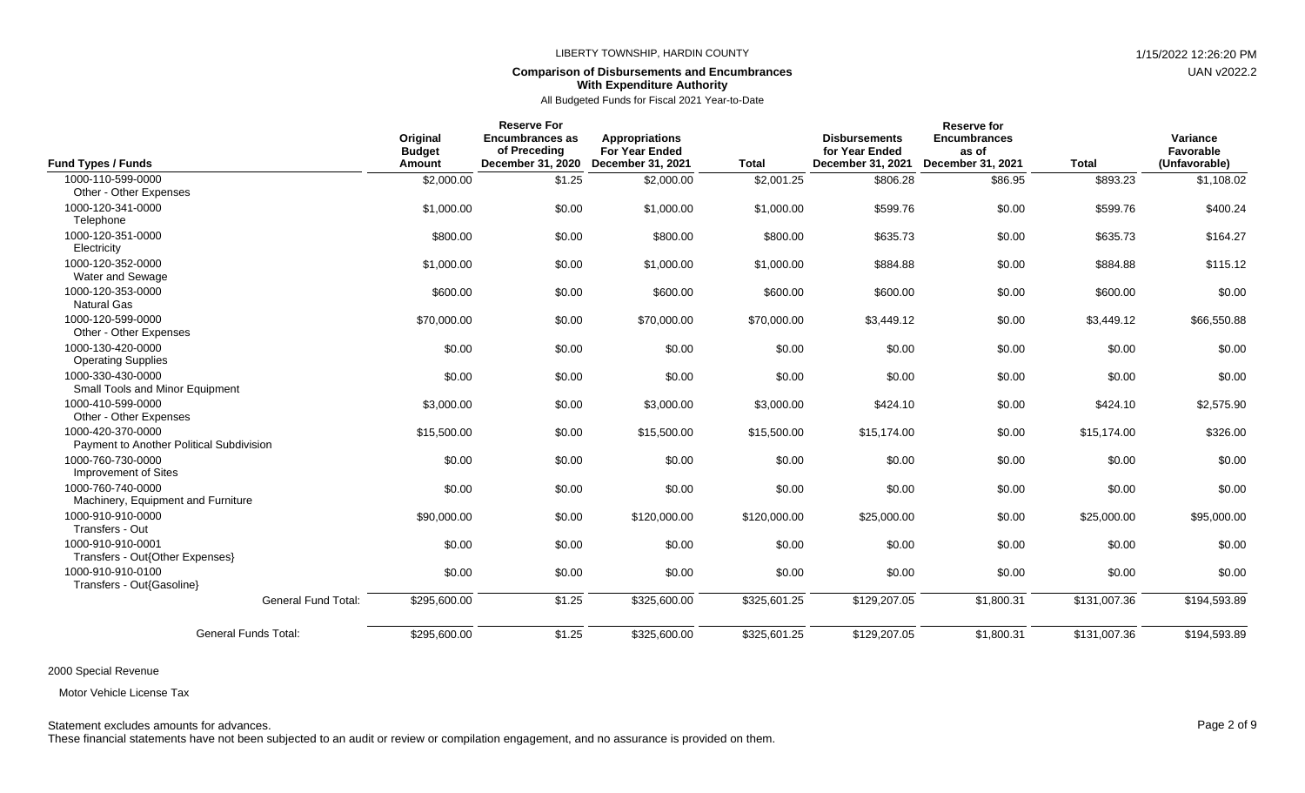## **Comparison of Disbursements and Encumbrances With Expenditure Authority**

|                                                               |                                     | <b>Reserve For</b>                                          |                                                                            |              |                                                             | <b>Reserve for</b>                                |              |                                        |
|---------------------------------------------------------------|-------------------------------------|-------------------------------------------------------------|----------------------------------------------------------------------------|--------------|-------------------------------------------------------------|---------------------------------------------------|--------------|----------------------------------------|
| Fund Types / Funds                                            | Original<br><b>Budget</b><br>Amount | <b>Encumbrances as</b><br>of Preceding<br>December 31, 2020 | <b>Appropriations</b><br><b>For Year Ended</b><br><b>December 31, 2021</b> | <b>Total</b> | <b>Disbursements</b><br>for Year Ended<br>December 31, 2021 | <b>Encumbrances</b><br>as of<br>December 31, 2021 | <b>Total</b> | Variance<br>Favorable<br>(Unfavorable) |
| 1000-110-599-0000                                             | \$2,000.00                          | \$1.25                                                      | \$2,000.00                                                                 | \$2,001.25   | \$806.28                                                    | \$86.95                                           | \$893.23     | \$1,108.02                             |
| Other - Other Expenses                                        |                                     |                                                             |                                                                            |              |                                                             |                                                   |              |                                        |
| 1000-120-341-0000<br>Telephone                                | \$1,000.00                          | \$0.00                                                      | \$1,000.00                                                                 | \$1,000.00   | \$599.76                                                    | \$0.00                                            | \$599.76     | \$400.24                               |
| 1000-120-351-0000<br>Electricity                              | \$800.00                            | \$0.00                                                      | \$800.00                                                                   | \$800.00     | \$635.73                                                    | \$0.00                                            | \$635.73     | \$164.27                               |
| 1000-120-352-0000<br>Water and Sewage                         | \$1,000.00                          | \$0.00                                                      | \$1,000.00                                                                 | \$1,000.00   | \$884.88                                                    | \$0.00                                            | \$884.88     | \$115.12                               |
| 1000-120-353-0000<br><b>Natural Gas</b>                       | \$600.00                            | \$0.00                                                      | \$600.00                                                                   | \$600.00     | \$600.00                                                    | \$0.00                                            | \$600.00     | \$0.00                                 |
| 1000-120-599-0000<br>Other - Other Expenses                   | \$70,000.00                         | \$0.00                                                      | \$70,000.00                                                                | \$70,000.00  | \$3,449.12                                                  | \$0.00                                            | \$3,449.12   | \$66,550.88                            |
| 1000-130-420-0000<br><b>Operating Supplies</b>                | \$0.00                              | \$0.00                                                      | \$0.00                                                                     | \$0.00       | \$0.00                                                      | \$0.00                                            | \$0.00       | \$0.00                                 |
| 1000-330-430-0000<br>Small Tools and Minor Equipment          | \$0.00                              | \$0.00                                                      | \$0.00                                                                     | \$0.00       | \$0.00                                                      | \$0.00                                            | \$0.00       | \$0.00                                 |
| 1000-410-599-0000<br>Other - Other Expenses                   | \$3,000.00                          | \$0.00                                                      | \$3,000.00                                                                 | \$3,000.00   | \$424.10                                                    | \$0.00                                            | \$424.10     | \$2,575.90                             |
| 1000-420-370-0000<br>Payment to Another Political Subdivision | \$15,500.00                         | \$0.00                                                      | \$15,500.00                                                                | \$15,500.00  | \$15,174.00                                                 | \$0.00                                            | \$15,174.00  | \$326.00                               |
| 1000-760-730-0000<br><b>Improvement of Sites</b>              | \$0.00                              | \$0.00                                                      | \$0.00                                                                     | \$0.00       | \$0.00                                                      | \$0.00                                            | \$0.00       | \$0.00                                 |
| 1000-760-740-0000<br>Machinery, Equipment and Furniture       | \$0.00                              | \$0.00                                                      | \$0.00                                                                     | \$0.00       | \$0.00                                                      | \$0.00                                            | \$0.00       | \$0.00                                 |
| 1000-910-910-0000<br>Transfers - Out                          | \$90,000.00                         | \$0.00                                                      | \$120,000.00                                                               | \$120,000.00 | \$25,000.00                                                 | \$0.00                                            | \$25,000.00  | \$95,000.00                            |
| 1000-910-910-0001<br>Transfers - Out{Other Expenses}          | \$0.00                              | \$0.00                                                      | \$0.00                                                                     | \$0.00       | \$0.00                                                      | \$0.00                                            | \$0.00       | \$0.00                                 |
| 1000-910-910-0100<br>Transfers - Out{Gasoline}                | \$0.00                              | \$0.00                                                      | \$0.00                                                                     | \$0.00       | \$0.00                                                      | \$0.00                                            | \$0.00       | \$0.00                                 |
| <b>General Fund Total:</b>                                    | \$295,600.00                        | \$1.25                                                      | \$325,600.00                                                               | \$325,601.25 | \$129,207.05                                                | \$1,800.31                                        | \$131,007.36 | \$194,593.89                           |
| <b>General Funds Total:</b>                                   | \$295,600.00                        | \$1.25                                                      | \$325,600.00                                                               | \$325,601.25 | \$129,207.05                                                | \$1,800.31                                        | \$131,007.36 | \$194,593.89                           |

2000 Special Revenue

Motor Vehicle License Tax

Statement excludes amounts for advances. The excludes amounts for advances. Page 2 of 9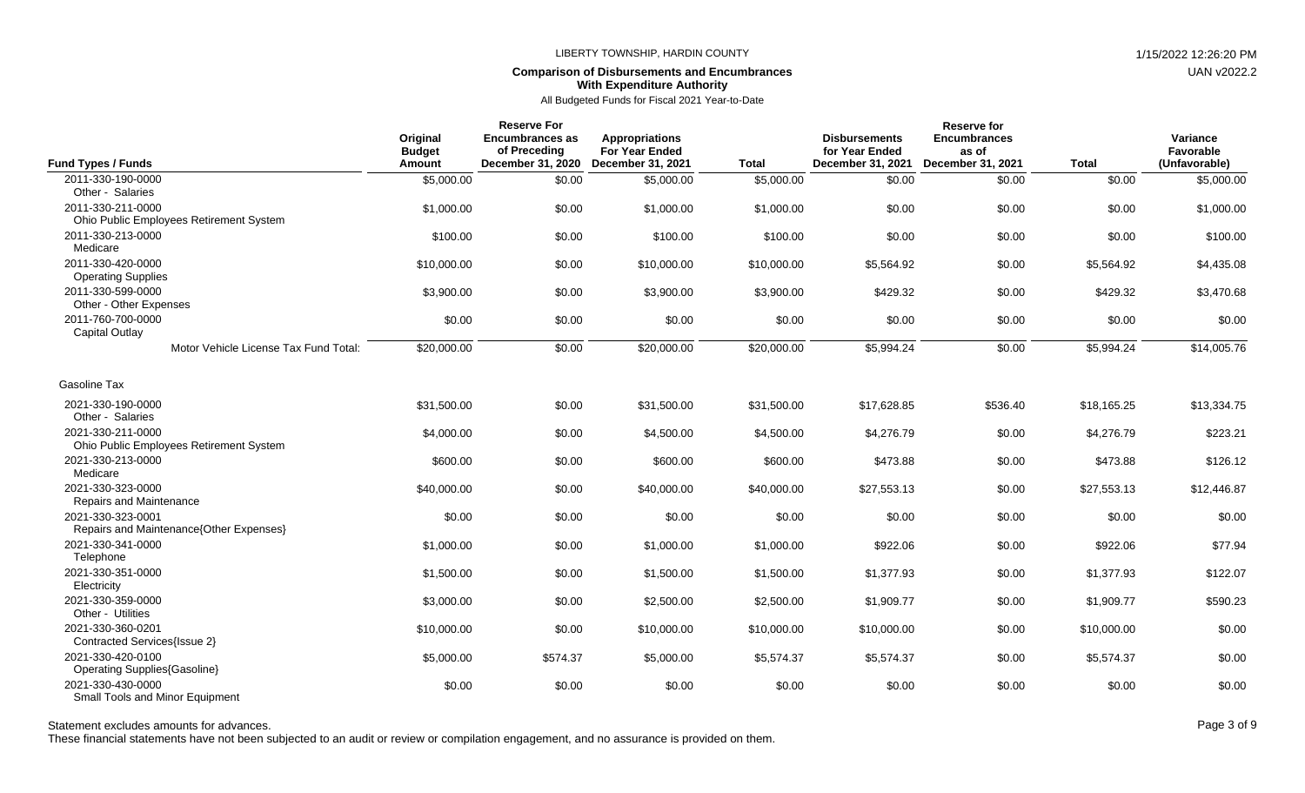## **Comparison of Disbursements and Encumbrances With Expenditure Authority**

All Budgeted Funds for Fiscal 2021 Year-to-Date

| <b>Fund Types / Funds</b>                                    | Original<br><b>Budget</b><br><b>Amount</b> | <b>Reserve For</b><br><b>Encumbrances as</b><br>of Preceding<br>December 31, 2020 | <b>Appropriations</b><br><b>For Year Ended</b><br><b>December 31, 2021</b> | <b>Total</b> | <b>Disbursements</b><br>for Year Ended<br>December 31, 2021 | Reserve for<br><b>Encumbrances</b><br>as of<br>December 31, 2021 | <b>Total</b> | Variance<br>Favorable<br>(Unfavorable) |
|--------------------------------------------------------------|--------------------------------------------|-----------------------------------------------------------------------------------|----------------------------------------------------------------------------|--------------|-------------------------------------------------------------|------------------------------------------------------------------|--------------|----------------------------------------|
| 2011-330-190-0000<br>Other - Salaries                        | \$5,000.00                                 | \$0.00                                                                            | \$5,000.00                                                                 | \$5,000.00   | \$0.00                                                      | \$0.00                                                           | \$0.00       | \$5,000.00                             |
| 2011-330-211-0000<br>Ohio Public Employees Retirement System | \$1,000.00                                 | \$0.00                                                                            | \$1,000.00                                                                 | \$1,000.00   | \$0.00                                                      | \$0.00                                                           | \$0.00       | \$1,000.00                             |
| 2011-330-213-0000<br>Medicare                                | \$100.00                                   | \$0.00                                                                            | \$100.00                                                                   | \$100.00     | \$0.00                                                      | \$0.00                                                           | \$0.00       | \$100.00                               |
| 2011-330-420-0000<br><b>Operating Supplies</b>               | \$10,000.00                                | \$0.00                                                                            | \$10,000.00                                                                | \$10,000.00  | \$5,564.92                                                  | \$0.00                                                           | \$5,564.92   | \$4,435.08                             |
| 2011-330-599-0000<br>Other - Other Expenses                  | \$3,900.00                                 | \$0.00                                                                            | \$3,900.00                                                                 | \$3,900.00   | \$429.32                                                    | \$0.00                                                           | \$429.32     | \$3,470.68                             |
| 2011-760-700-0000<br><b>Capital Outlay</b>                   | \$0.00                                     | \$0.00                                                                            | \$0.00                                                                     | \$0.00       | \$0.00                                                      | \$0.00                                                           | \$0.00       | \$0.00                                 |
| Motor Vehicle License Tax Fund Total:                        | \$20,000.00                                | \$0.00                                                                            | \$20,000.00                                                                | \$20,000.00  | \$5,994.24                                                  | \$0.00                                                           | \$5.994.24   | \$14,005.76                            |
| Gasoline Tax                                                 |                                            |                                                                                   |                                                                            |              |                                                             |                                                                  |              |                                        |
| 2021-330-190-0000<br>Other - Salaries                        | \$31,500.00                                | \$0.00                                                                            | \$31,500.00                                                                | \$31,500.00  | \$17,628.85                                                 | \$536.40                                                         | \$18,165.25  | \$13,334.75                            |
| 2021-330-211-0000<br>Ohio Public Employees Retirement System | \$4,000.00                                 | \$0.00                                                                            | \$4,500.00                                                                 | \$4,500.00   | \$4,276.79                                                  | \$0.00                                                           | \$4,276.79   | \$223.21                               |
| 2021-330-213-0000<br>Medicare                                | \$600.00                                   | \$0.00                                                                            | \$600.00                                                                   | \$600.00     | \$473.88                                                    | \$0.00                                                           | \$473.88     | \$126.12                               |
| 2021-330-323-0000<br>Repairs and Maintenance                 | \$40,000.00                                | \$0.00                                                                            | \$40,000.00                                                                | \$40,000.00  | \$27,553.13                                                 | \$0.00                                                           | \$27,553.13  | \$12,446.87                            |
| 2021-330-323-0001<br>Repairs and Maintenance{Other Expenses} | \$0.00                                     | \$0.00                                                                            | \$0.00                                                                     | \$0.00       | \$0.00                                                      | \$0.00                                                           | \$0.00       | \$0.00                                 |
| 2021-330-341-0000<br>Telephone                               | \$1,000.00                                 | \$0.00                                                                            | \$1,000.00                                                                 | \$1,000.00   | \$922.06                                                    | \$0.00                                                           | \$922.06     | \$77.94                                |
| 2021-330-351-0000<br>Electricity                             | \$1,500.00                                 | \$0.00                                                                            | \$1,500.00                                                                 | \$1,500.00   | \$1,377.93                                                  | \$0.00                                                           | \$1,377.93   | \$122.07                               |
| 2021-330-359-0000<br>Other - Utilities                       | \$3,000.00                                 | \$0.00                                                                            | \$2,500.00                                                                 | \$2,500.00   | \$1,909.77                                                  | \$0.00                                                           | \$1,909.77   | \$590.23                               |
| 2021-330-360-0201<br>Contracted Services{Issue 2}            | \$10,000.00                                | \$0.00                                                                            | \$10,000.00                                                                | \$10,000.00  | \$10,000.00                                                 | \$0.00                                                           | \$10,000.00  | \$0.00                                 |
| 2021-330-420-0100<br><b>Operating Supplies{Gasoline}</b>     | \$5,000.00                                 | \$574.37                                                                          | \$5,000.00                                                                 | \$5,574.37   | \$5,574.37                                                  | \$0.00                                                           | \$5,574.37   | \$0.00                                 |
| 2021-330-430-0000<br><b>Small Tools and Minor Equipment</b>  | \$0.00                                     | \$0.00                                                                            | \$0.00                                                                     | \$0.00       | \$0.00                                                      | \$0.00                                                           | \$0.00       | \$0.00                                 |

Statement excludes amounts for advances. The state of 9 and 20 of 9 and 20 of 9 and 20 of 9 and 20 of 9 and 20 of 9 and 20 of 9 and 20 of 9 and 20 of 9 and 20 of 9 and 20 of 9 and 20 of 9 and 20 of 9 and 20 of 9 and 20 of

These financial statements have not been subjected to an audit or review or compilation engagement, and no assurance is provided on them.

UAN v2022.2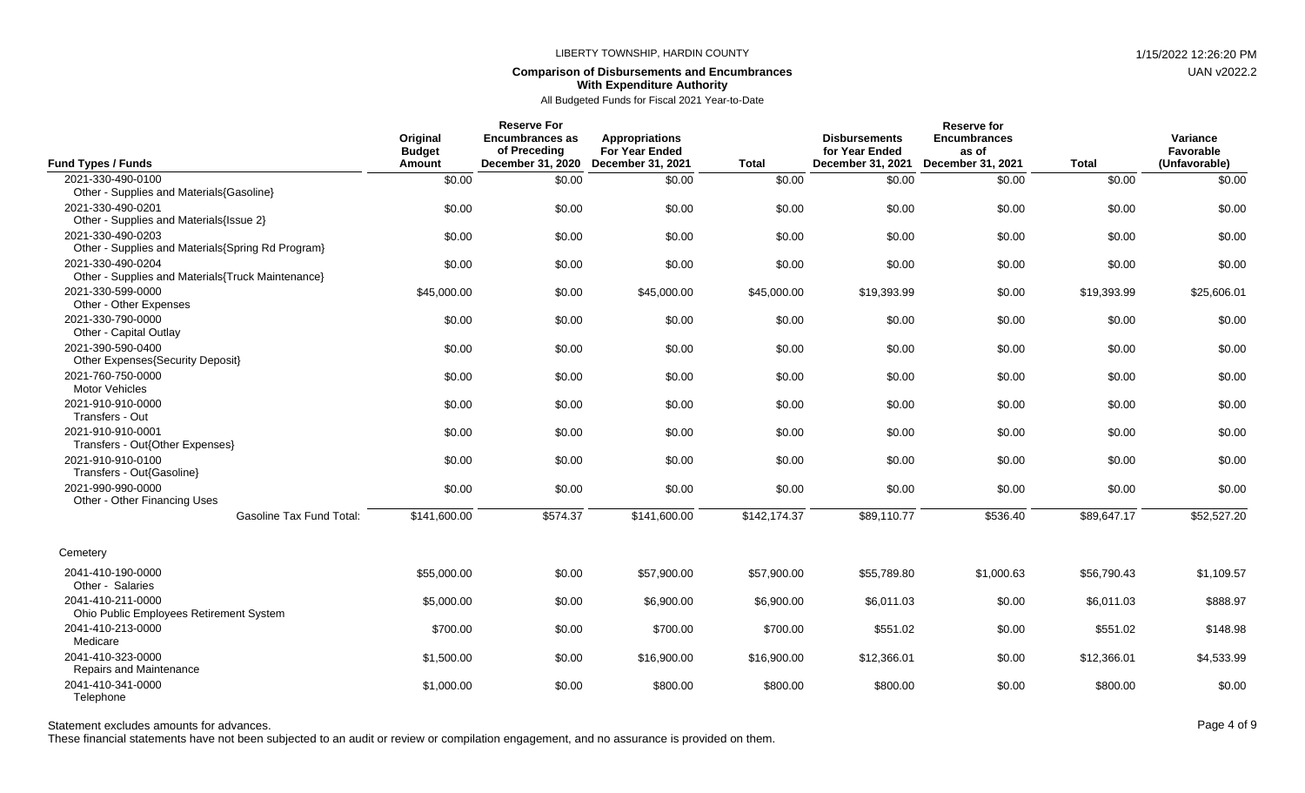## **Comparison of Disbursements and Encumbrances With Expenditure Authority**

| <b>Fund Types / Funds</b>                                              | Original<br><b>Budget</b><br>Amount | <b>Reserve For</b><br><b>Encumbrances as</b><br>of Preceding<br>December 31, 2020 | <b>Appropriations</b><br><b>For Year Ended</b><br><b>December 31, 2021</b> | <b>Total</b> | <b>Disbursements</b><br>for Year Ended<br>December 31, 2021 | <b>Reserve for</b><br><b>Encumbrances</b><br>as of<br><b>December 31, 2021</b> | <b>Total</b> | Variance<br>Favorable<br>(Unfavorable) |
|------------------------------------------------------------------------|-------------------------------------|-----------------------------------------------------------------------------------|----------------------------------------------------------------------------|--------------|-------------------------------------------------------------|--------------------------------------------------------------------------------|--------------|----------------------------------------|
| 2021-330-490-0100                                                      | \$0.00                              | \$0.00                                                                            | \$0.00                                                                     | \$0.00       | \$0.00                                                      | \$0.00                                                                         | \$0.00       | \$0.00                                 |
| Other - Supplies and Materials{Gasoline}                               |                                     |                                                                                   |                                                                            |              |                                                             |                                                                                |              |                                        |
| 2021-330-490-0201                                                      | \$0.00                              | \$0.00                                                                            | \$0.00                                                                     | \$0.00       | \$0.00                                                      | \$0.00                                                                         | \$0.00       | \$0.00                                 |
| Other - Supplies and Materials{Issue 2}                                |                                     |                                                                                   |                                                                            |              |                                                             |                                                                                |              |                                        |
| 2021-330-490-0203<br>Other - Supplies and Materials{Spring Rd Program} | \$0.00                              | \$0.00                                                                            | \$0.00                                                                     | \$0.00       | \$0.00                                                      | \$0.00                                                                         | \$0.00       | \$0.00                                 |
| 2021-330-490-0204<br>Other - Supplies and Materials{Truck Maintenance} | \$0.00                              | \$0.00                                                                            | \$0.00                                                                     | \$0.00       | \$0.00                                                      | \$0.00                                                                         | \$0.00       | \$0.00                                 |
| 2021-330-599-0000<br>Other - Other Expenses                            | \$45,000.00                         | \$0.00                                                                            | \$45,000.00                                                                | \$45,000.00  | \$19,393.99                                                 | \$0.00                                                                         | \$19,393.99  | \$25,606.01                            |
| 2021-330-790-0000<br>Other - Capital Outlay                            | \$0.00                              | \$0.00                                                                            | \$0.00                                                                     | \$0.00       | \$0.00                                                      | \$0.00                                                                         | \$0.00       | \$0.00                                 |
| 2021-390-590-0400<br>Other Expenses{Security Deposit}                  | \$0.00                              | \$0.00                                                                            | \$0.00                                                                     | \$0.00       | \$0.00                                                      | \$0.00                                                                         | \$0.00       | \$0.00                                 |
| 2021-760-750-0000<br><b>Motor Vehicles</b>                             | \$0.00                              | \$0.00                                                                            | \$0.00                                                                     | \$0.00       | \$0.00                                                      | \$0.00                                                                         | \$0.00       | \$0.00                                 |
| 2021-910-910-0000<br>Transfers - Out                                   | \$0.00                              | \$0.00                                                                            | \$0.00                                                                     | \$0.00       | \$0.00                                                      | \$0.00                                                                         | \$0.00       | \$0.00                                 |
| 2021-910-910-0001<br>Transfers - Out{Other Expenses}                   | \$0.00                              | \$0.00                                                                            | \$0.00                                                                     | \$0.00       | \$0.00                                                      | \$0.00                                                                         | \$0.00       | \$0.00                                 |
| 2021-910-910-0100<br>Transfers - Out{Gasoline}                         | \$0.00                              | \$0.00                                                                            | \$0.00                                                                     | \$0.00       | \$0.00                                                      | \$0.00                                                                         | \$0.00       | \$0.00                                 |
| 2021-990-990-0000<br>Other - Other Financing Uses                      | \$0.00                              | \$0.00                                                                            | \$0.00                                                                     | \$0.00       | \$0.00                                                      | \$0.00                                                                         | \$0.00       | \$0.00                                 |
| <b>Gasoline Tax Fund Total:</b>                                        | \$141,600.00                        | \$574.37                                                                          | \$141,600.00                                                               | \$142,174.37 | \$89.110.77                                                 | \$536.40                                                                       | \$89.647.17  | \$52,527.20                            |
| Cemetery                                                               |                                     |                                                                                   |                                                                            |              |                                                             |                                                                                |              |                                        |
| 2041-410-190-0000<br>Other - Salaries                                  | \$55,000.00                         | \$0.00                                                                            | \$57,900.00                                                                | \$57,900.00  | \$55,789.80                                                 | \$1,000.63                                                                     | \$56,790.43  | \$1,109.57                             |
| 2041-410-211-0000<br>Ohio Public Employees Retirement System           | \$5,000.00                          | \$0.00                                                                            | \$6,900.00                                                                 | \$6,900.00   | \$6,011.03                                                  | \$0.00                                                                         | \$6,011.03   | \$888.97                               |
| 2041-410-213-0000<br>Medicare                                          | \$700.00                            | \$0.00                                                                            | \$700.00                                                                   | \$700.00     | \$551.02                                                    | \$0.00                                                                         | \$551.02     | \$148.98                               |
| 2041-410-323-0000<br>Repairs and Maintenance                           | \$1,500.00                          | \$0.00                                                                            | \$16,900.00                                                                | \$16,900.00  | \$12,366.01                                                 | \$0.00                                                                         | \$12,366.01  | \$4,533.99                             |
| 2041-410-341-0000<br>Telephone                                         | \$1,000.00                          | \$0.00                                                                            | \$800.00                                                                   | \$800.00     | \$800.00                                                    | \$0.00                                                                         | \$800.00     | \$0.00                                 |

Statement excludes amounts for advances. The statement excludes amounts for advances. Page 4 of 9

These financial statements have not been subjected to an audit or review or compilation engagement, and no assurance is provided on them.

UAN v2022.2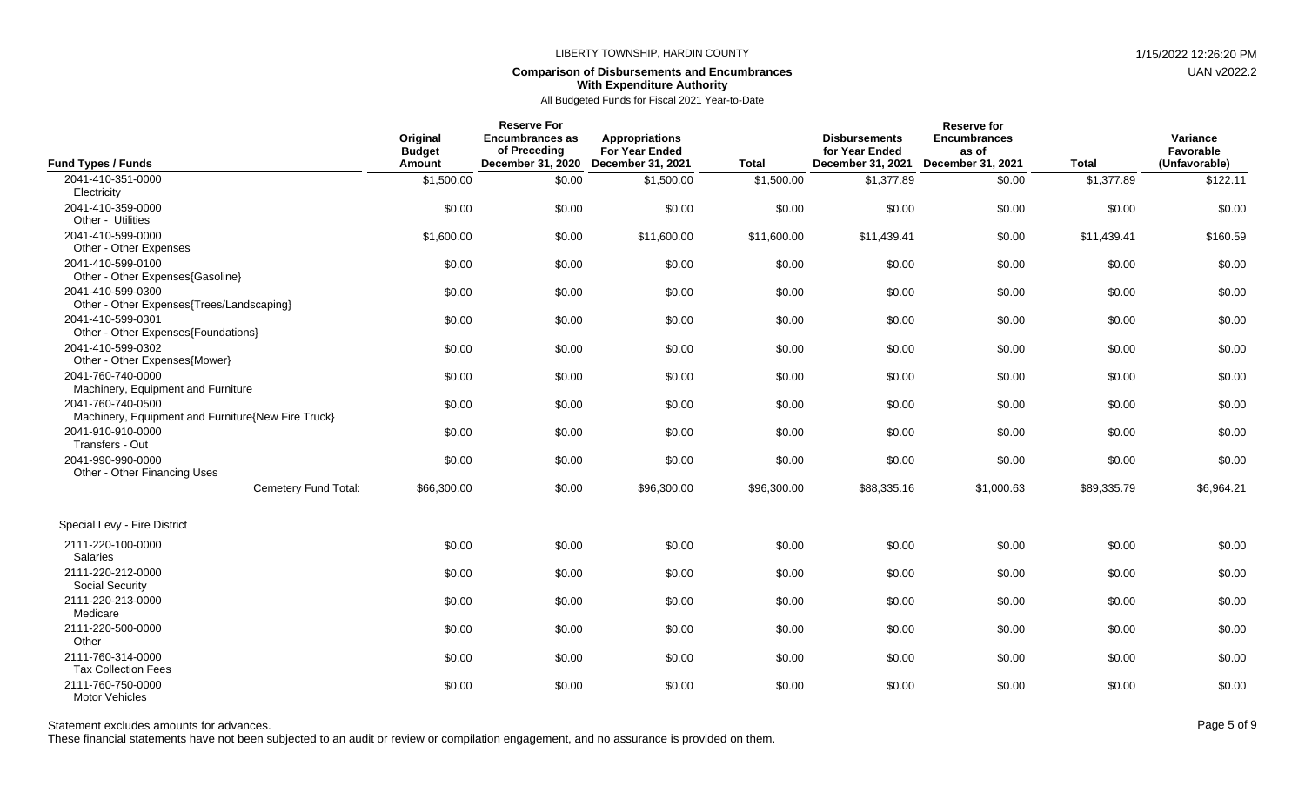## **Comparison of Disbursements and Encumbrances With Expenditure Authority**

| <b>Fund Types / Funds</b>                                               | Original<br><b>Budget</b><br>Amount | <b>Reserve For</b><br><b>Encumbrances as</b><br>of Preceding<br>December 31, 2020 | <b>Appropriations</b><br><b>For Year Ended</b><br><b>December 31, 2021</b> | <b>Total</b> | <b>Disbursements</b><br>for Year Ended<br>December 31, 2021 | <b>Reserve for</b><br><b>Encumbrances</b><br>as of<br>December 31, 2021 | <b>Total</b> | Variance<br>Favorable<br>(Unfavorable) |
|-------------------------------------------------------------------------|-------------------------------------|-----------------------------------------------------------------------------------|----------------------------------------------------------------------------|--------------|-------------------------------------------------------------|-------------------------------------------------------------------------|--------------|----------------------------------------|
| 2041-410-351-0000<br>Electricity                                        | \$1,500.00                          | \$0.00                                                                            | \$1,500.00                                                                 | \$1,500.00   | \$1,377.89                                                  | \$0.00                                                                  | \$1,377.89   | \$122.11                               |
| 2041-410-359-0000<br>Other - Utilities                                  | \$0.00                              | \$0.00                                                                            | \$0.00                                                                     | \$0.00       | \$0.00                                                      | \$0.00                                                                  | \$0.00       | \$0.00                                 |
| 2041-410-599-0000<br>Other - Other Expenses                             | \$1,600.00                          | \$0.00                                                                            | \$11,600.00                                                                | \$11,600.00  | \$11,439.41                                                 | \$0.00                                                                  | \$11,439.41  | \$160.59                               |
| 2041-410-599-0100<br>Other - Other Expenses{Gasoline}                   | \$0.00                              | \$0.00                                                                            | \$0.00                                                                     | \$0.00       | \$0.00                                                      | \$0.00                                                                  | \$0.00       | \$0.00                                 |
| 2041-410-599-0300<br>Other - Other Expenses{Trees/Landscaping}          | \$0.00                              | \$0.00                                                                            | \$0.00                                                                     | \$0.00       | \$0.00                                                      | \$0.00                                                                  | \$0.00       | \$0.00                                 |
| 2041-410-599-0301<br>Other - Other Expenses{Foundations}                | \$0.00                              | \$0.00                                                                            | \$0.00                                                                     | \$0.00       | \$0.00                                                      | \$0.00                                                                  | \$0.00       | \$0.00                                 |
| 2041-410-599-0302<br>Other - Other Expenses{Mower}                      | \$0.00                              | \$0.00                                                                            | \$0.00                                                                     | \$0.00       | \$0.00                                                      | \$0.00                                                                  | \$0.00       | \$0.00                                 |
| 2041-760-740-0000<br>Machinery, Equipment and Furniture                 | \$0.00                              | \$0.00                                                                            | \$0.00                                                                     | \$0.00       | \$0.00                                                      | \$0.00                                                                  | \$0.00       | \$0.00                                 |
| 2041-760-740-0500<br>Machinery, Equipment and Furniture{New Fire Truck} | \$0.00                              | \$0.00                                                                            | \$0.00                                                                     | \$0.00       | \$0.00                                                      | \$0.00                                                                  | \$0.00       | \$0.00                                 |
| 2041-910-910-0000<br>Transfers - Out                                    | \$0.00                              | \$0.00                                                                            | \$0.00                                                                     | \$0.00       | \$0.00                                                      | \$0.00                                                                  | \$0.00       | \$0.00                                 |
| 2041-990-990-0000<br>Other - Other Financing Uses                       | \$0.00                              | \$0.00                                                                            | \$0.00                                                                     | \$0.00       | \$0.00                                                      | \$0.00                                                                  | \$0.00       | \$0.00                                 |
| Cemetery Fund Total:                                                    | \$66,300.00                         | \$0.00                                                                            | \$96,300.00                                                                | \$96,300.00  | \$88,335.16                                                 | \$1,000.63                                                              | \$89,335.79  | \$6,964.21                             |
| Special Levy - Fire District                                            |                                     |                                                                                   |                                                                            |              |                                                             |                                                                         |              |                                        |
| 2111-220-100-0000<br>Salaries                                           | \$0.00                              | \$0.00                                                                            | \$0.00                                                                     | \$0.00       | \$0.00                                                      | \$0.00                                                                  | \$0.00       | \$0.00                                 |
| 2111-220-212-0000<br>Social Security                                    | \$0.00                              | \$0.00                                                                            | \$0.00                                                                     | \$0.00       | \$0.00                                                      | \$0.00                                                                  | \$0.00       | \$0.00                                 |
| 2111-220-213-0000<br>Medicare                                           | \$0.00                              | \$0.00                                                                            | \$0.00                                                                     | \$0.00       | \$0.00                                                      | \$0.00                                                                  | \$0.00       | \$0.00                                 |
| 2111-220-500-0000<br>Other                                              | \$0.00                              | \$0.00                                                                            | \$0.00                                                                     | \$0.00       | \$0.00                                                      | \$0.00                                                                  | \$0.00       | \$0.00                                 |
| 2111-760-314-0000<br><b>Tax Collection Fees</b>                         | \$0.00                              | \$0.00                                                                            | \$0.00                                                                     | \$0.00       | \$0.00                                                      | \$0.00                                                                  | \$0.00       | \$0.00                                 |
| 2111-760-750-0000<br><b>Motor Vehicles</b>                              | \$0.00                              | \$0.00                                                                            | \$0.00                                                                     | \$0.00       | \$0.00                                                      | \$0.00                                                                  | \$0.00       | \$0.00                                 |

Statement excludes amounts for advances. The state of 9 and 20 and 20 and 20 and 20 and 20 and 20 and 20 and 20 and 20 and 20 and 20 and 20 and 20 and 20 and 20 and 20 and 20 and 20 and 20 and 20 and 20 and 20 and 20 and 2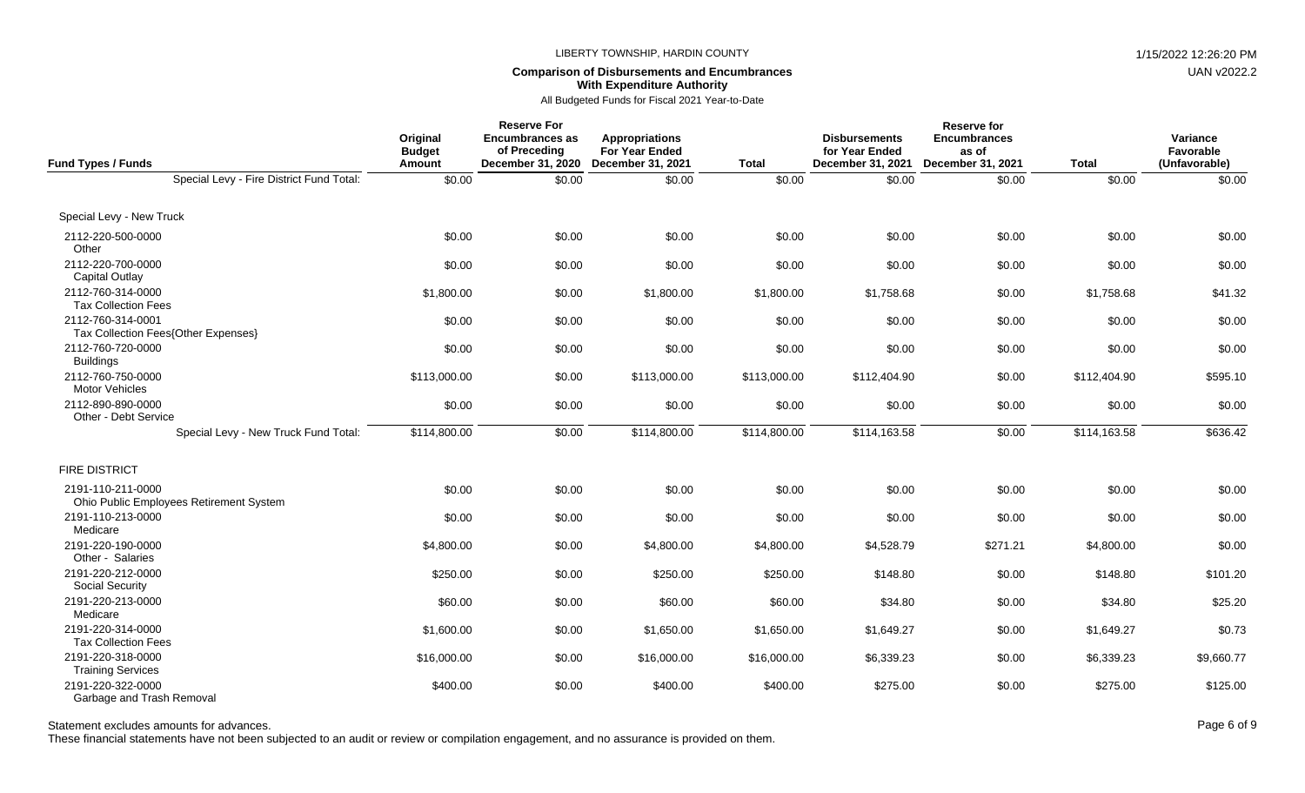# **Comparison of Disbursements and Encumbrances With Expenditure Authority**

All Budgeted Funds for Fiscal 2021 Year-to-Date

| Fund Types / Funds                                           | Original<br><b>Budget</b><br>Amount | <b>Reserve For</b><br><b>Encumbrances as</b><br>of Preceding<br>December 31, 2020 | <b>Appropriations</b><br>For Year Ended<br>December 31, 2021 | <b>Total</b> | <b>Disbursements</b><br>for Year Ended<br>December 31, 2021 | <b>Reserve for</b><br><b>Encumbrances</b><br>as of<br>December 31, 2021 | <b>Total</b> | Variance<br>Favorable<br>(Unfavorable) |
|--------------------------------------------------------------|-------------------------------------|-----------------------------------------------------------------------------------|--------------------------------------------------------------|--------------|-------------------------------------------------------------|-------------------------------------------------------------------------|--------------|----------------------------------------|
| Special Levy - Fire District Fund Total:                     | \$0.00                              | \$0.00                                                                            | \$0.00                                                       | \$0.00       | \$0.00                                                      | \$0.00                                                                  | \$0.00       | \$0.00                                 |
| Special Levy - New Truck                                     |                                     |                                                                                   |                                                              |              |                                                             |                                                                         |              |                                        |
| 2112-220-500-0000<br>Other                                   | \$0.00                              | \$0.00                                                                            | \$0.00                                                       | \$0.00       | \$0.00                                                      | \$0.00                                                                  | \$0.00       | \$0.00                                 |
| 2112-220-700-0000<br><b>Capital Outlay</b>                   | \$0.00                              | \$0.00                                                                            | \$0.00                                                       | \$0.00       | \$0.00                                                      | \$0.00                                                                  | \$0.00       | \$0.00                                 |
| 2112-760-314-0000<br><b>Tax Collection Fees</b>              | \$1,800.00                          | \$0.00                                                                            | \$1,800.00                                                   | \$1,800.00   | \$1,758.68                                                  | \$0.00                                                                  | \$1,758.68   | \$41.32                                |
| 2112-760-314-0001<br>Tax Collection Fees{Other Expenses}     | \$0.00                              | \$0.00                                                                            | \$0.00                                                       | \$0.00       | \$0.00                                                      | \$0.00                                                                  | \$0.00       | \$0.00                                 |
| 2112-760-720-0000<br><b>Buildings</b>                        | \$0.00                              | \$0.00                                                                            | \$0.00                                                       | \$0.00       | \$0.00                                                      | \$0.00                                                                  | \$0.00       | \$0.00                                 |
| 2112-760-750-0000<br><b>Motor Vehicles</b>                   | \$113,000.00                        | \$0.00                                                                            | \$113,000.00                                                 | \$113,000.00 | \$112,404.90                                                | \$0.00                                                                  | \$112,404.90 | \$595.10                               |
| 2112-890-890-0000<br>Other - Debt Service                    | \$0.00                              | \$0.00                                                                            | \$0.00                                                       | \$0.00       | \$0.00                                                      | \$0.00                                                                  | \$0.00       | \$0.00                                 |
| Special Levy - New Truck Fund Total:                         | \$114,800.00                        | \$0.00                                                                            | \$114,800.00                                                 | \$114,800.00 | \$114,163.58                                                | \$0.00                                                                  | \$114,163.58 | \$636.42                               |
| <b>FIRE DISTRICT</b>                                         |                                     |                                                                                   |                                                              |              |                                                             |                                                                         |              |                                        |
| 2191-110-211-0000<br>Ohio Public Employees Retirement System | \$0.00                              | \$0.00                                                                            | \$0.00                                                       | \$0.00       | \$0.00                                                      | \$0.00                                                                  | \$0.00       | \$0.00                                 |
| 2191-110-213-0000<br>Medicare                                | \$0.00                              | \$0.00                                                                            | \$0.00                                                       | \$0.00       | \$0.00                                                      | \$0.00                                                                  | \$0.00       | \$0.00                                 |
| 2191-220-190-0000<br>Other - Salaries                        | \$4,800.00                          | \$0.00                                                                            | \$4,800.00                                                   | \$4,800.00   | \$4,528.79                                                  | \$271.21                                                                | \$4,800.00   | \$0.00                                 |
| 2191-220-212-0000<br>Social Security                         | \$250.00                            | \$0.00                                                                            | \$250.00                                                     | \$250.00     | \$148.80                                                    | \$0.00                                                                  | \$148.80     | \$101.20                               |
| 2191-220-213-0000<br>Medicare                                | \$60.00                             | \$0.00                                                                            | \$60.00                                                      | \$60.00      | \$34.80                                                     | \$0.00                                                                  | \$34.80      | \$25.20                                |
| 2191-220-314-0000<br><b>Tax Collection Fees</b>              | \$1,600.00                          | \$0.00                                                                            | \$1,650.00                                                   | \$1,650.00   | \$1,649.27                                                  | \$0.00                                                                  | \$1,649.27   | \$0.73                                 |
| 2191-220-318-0000<br><b>Training Services</b>                | \$16,000.00                         | \$0.00                                                                            | \$16,000.00                                                  | \$16,000.00  | \$6,339.23                                                  | \$0.00                                                                  | \$6,339.23   | \$9,660.77                             |
| 2191-220-322-0000<br>Garbage and Trash Removal               | \$400.00                            | \$0.00                                                                            | \$400.00                                                     | \$400.00     | \$275.00                                                    | \$0.00                                                                  | \$275.00     | \$125.00                               |

Statement excludes amounts for advances. The state of 9 and the state of 9 and the state of 9 and the state of 9 and the state of 9 and the state of 9 and the state of 9 and the state of 9 and the state of 9 and the state

These financial statements have not been subjected to an audit or review or compilation engagement, and no assurance is provided on them.

UAN v2022.2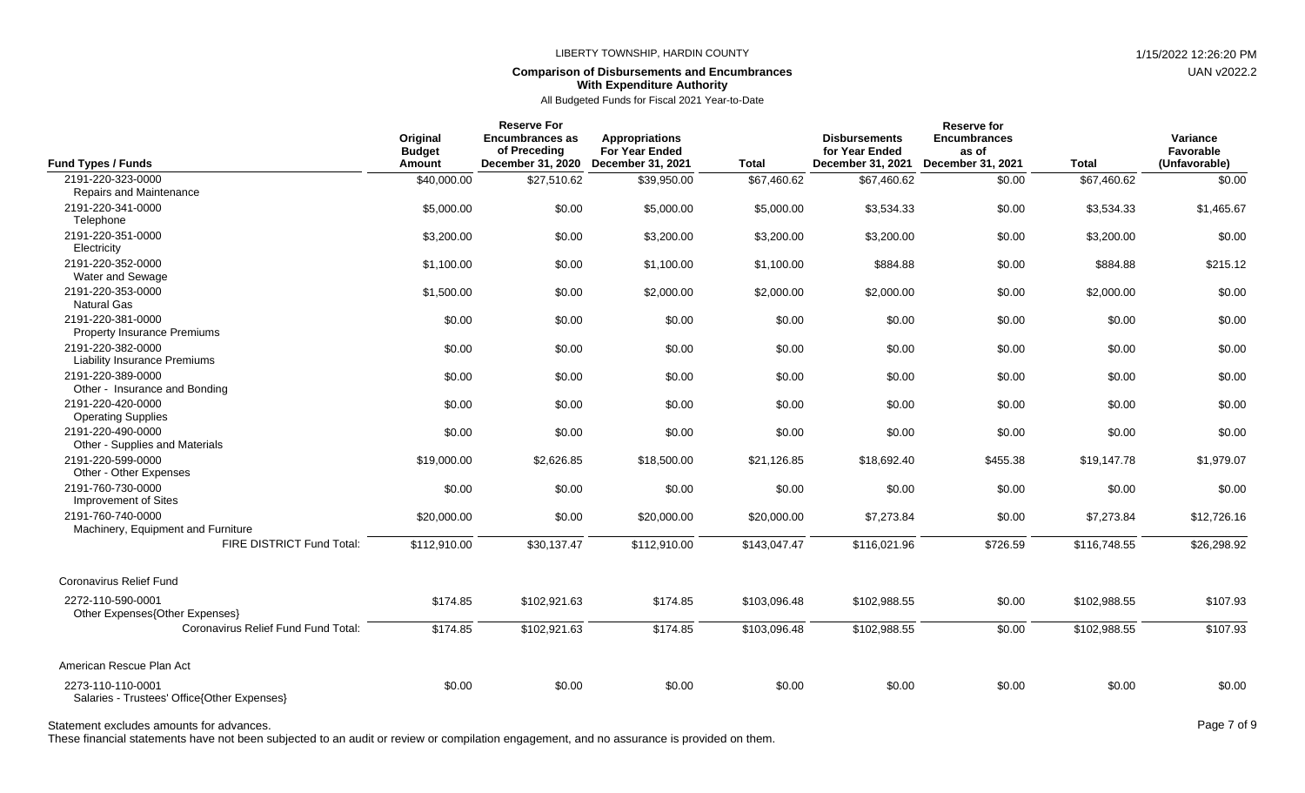### **Comparison of Disbursements and Encumbrances With Expenditure Authority**

All Budgeted Funds for Fiscal 2021 Year-to-Date

| <b>Fund Types / Funds</b>                                        | Original<br><b>Budget</b><br>Amount | <b>Reserve For</b><br><b>Encumbrances as</b><br>of Preceding<br>December 31, 2020 | <b>Appropriations</b><br><b>For Year Ended</b><br><b>December 31, 2021</b> | <b>Total</b> | <b>Disbursements</b><br>for Year Ended<br>December 31, 2021 | <b>Reserve for</b><br><b>Encumbrances</b><br>as of<br>December 31, 2021 | <b>Total</b> | Variance<br>Favorable<br>(Unfavorable) |
|------------------------------------------------------------------|-------------------------------------|-----------------------------------------------------------------------------------|----------------------------------------------------------------------------|--------------|-------------------------------------------------------------|-------------------------------------------------------------------------|--------------|----------------------------------------|
| 2191-220-323-0000                                                | \$40,000.00                         | \$27,510.62                                                                       | \$39,950.00                                                                | \$67,460.62  | \$67,460.62                                                 | \$0.00                                                                  | \$67,460.62  | \$0.00                                 |
| Repairs and Maintenance                                          |                                     |                                                                                   |                                                                            |              |                                                             |                                                                         |              |                                        |
| 2191-220-341-0000<br>Telephone                                   | \$5,000.00                          | \$0.00                                                                            | \$5,000.00                                                                 | \$5,000.00   | \$3,534.33                                                  | \$0.00                                                                  | \$3.534.33   | \$1,465.67                             |
| 2191-220-351-0000<br>Electricity                                 | \$3,200.00                          | \$0.00                                                                            | \$3,200.00                                                                 | \$3,200.00   | \$3,200.00                                                  | \$0.00                                                                  | \$3,200.00   | \$0.00                                 |
| 2191-220-352-0000<br>Water and Sewage                            | \$1,100.00                          | \$0.00                                                                            | \$1,100.00                                                                 | \$1,100.00   | \$884.88                                                    | \$0.00                                                                  | \$884.88     | \$215.12                               |
| 2191-220-353-0000<br><b>Natural Gas</b>                          | \$1,500.00                          | \$0.00                                                                            | \$2,000.00                                                                 | \$2,000.00   | \$2,000.00                                                  | \$0.00                                                                  | \$2,000.00   | \$0.00                                 |
| 2191-220-381-0000<br><b>Property Insurance Premiums</b>          | \$0.00                              | \$0.00                                                                            | \$0.00                                                                     | \$0.00       | \$0.00                                                      | \$0.00                                                                  | \$0.00       | \$0.00                                 |
| 2191-220-382-0000<br><b>Liability Insurance Premiums</b>         | \$0.00                              | \$0.00                                                                            | \$0.00                                                                     | \$0.00       | \$0.00                                                      | \$0.00                                                                  | \$0.00       | \$0.00                                 |
| 2191-220-389-0000<br>Other - Insurance and Bonding               | \$0.00                              | \$0.00                                                                            | \$0.00                                                                     | \$0.00       | \$0.00                                                      | \$0.00                                                                  | \$0.00       | \$0.00                                 |
| 2191-220-420-0000<br><b>Operating Supplies</b>                   | \$0.00                              | \$0.00                                                                            | \$0.00                                                                     | \$0.00       | \$0.00                                                      | \$0.00                                                                  | \$0.00       | \$0.00                                 |
| 2191-220-490-0000<br>Other - Supplies and Materials              | \$0.00                              | \$0.00                                                                            | \$0.00                                                                     | \$0.00       | \$0.00                                                      | \$0.00                                                                  | \$0.00       | \$0.00                                 |
| 2191-220-599-0000<br>Other - Other Expenses                      | \$19,000.00                         | \$2,626.85                                                                        | \$18,500.00                                                                | \$21,126.85  | \$18,692.40                                                 | \$455.38                                                                | \$19,147.78  | \$1,979.07                             |
| 2191-760-730-0000<br><b>Improvement of Sites</b>                 | \$0.00                              | \$0.00                                                                            | \$0.00                                                                     | \$0.00       | \$0.00                                                      | \$0.00                                                                  | \$0.00       | \$0.00                                 |
| 2191-760-740-0000<br>Machinery, Equipment and Furniture          | \$20,000.00                         | \$0.00                                                                            | \$20,000.00                                                                | \$20,000.00  | \$7,273.84                                                  | \$0.00                                                                  | \$7,273.84   | \$12,726.16                            |
| FIRE DISTRICT Fund Total:                                        | \$112,910.00                        | \$30,137.47                                                                       | \$112,910.00                                                               | \$143,047.47 | \$116,021.96                                                | \$726.59                                                                | \$116,748.55 | \$26,298.92                            |
| Coronavirus Relief Fund                                          |                                     |                                                                                   |                                                                            |              |                                                             |                                                                         |              |                                        |
| 2272-110-590-0001<br>Other Expenses{Other Expenses}              | \$174.85                            | \$102,921.63                                                                      | \$174.85                                                                   | \$103,096.48 | \$102,988.55                                                | \$0.00                                                                  | \$102,988.55 | \$107.93                               |
| Coronavirus Relief Fund Fund Total:                              | \$174.85                            | \$102,921.63                                                                      | \$174.85                                                                   | \$103,096.48 | \$102,988.55                                                | \$0.00                                                                  | \$102,988.55 | \$107.93                               |
| American Rescue Plan Act                                         |                                     |                                                                                   |                                                                            |              |                                                             |                                                                         |              |                                        |
| 2273-110-110-0001<br>Salaries - Trustees' Office{Other Expenses} | \$0.00                              | \$0.00                                                                            | \$0.00                                                                     | \$0.00       | \$0.00                                                      | \$0.00                                                                  | \$0.00       | \$0.00                                 |

Statement excludes amounts for advances. The state of 9 and 20 and 20 and 20 and 20 and 20 and 20 and 20 and 20 and 20 and 20 and 20 and 20 and 20 and 20 and 20 and 20 and 20 and 20 and 20 and 20 and 20 and 20 and 20 and 2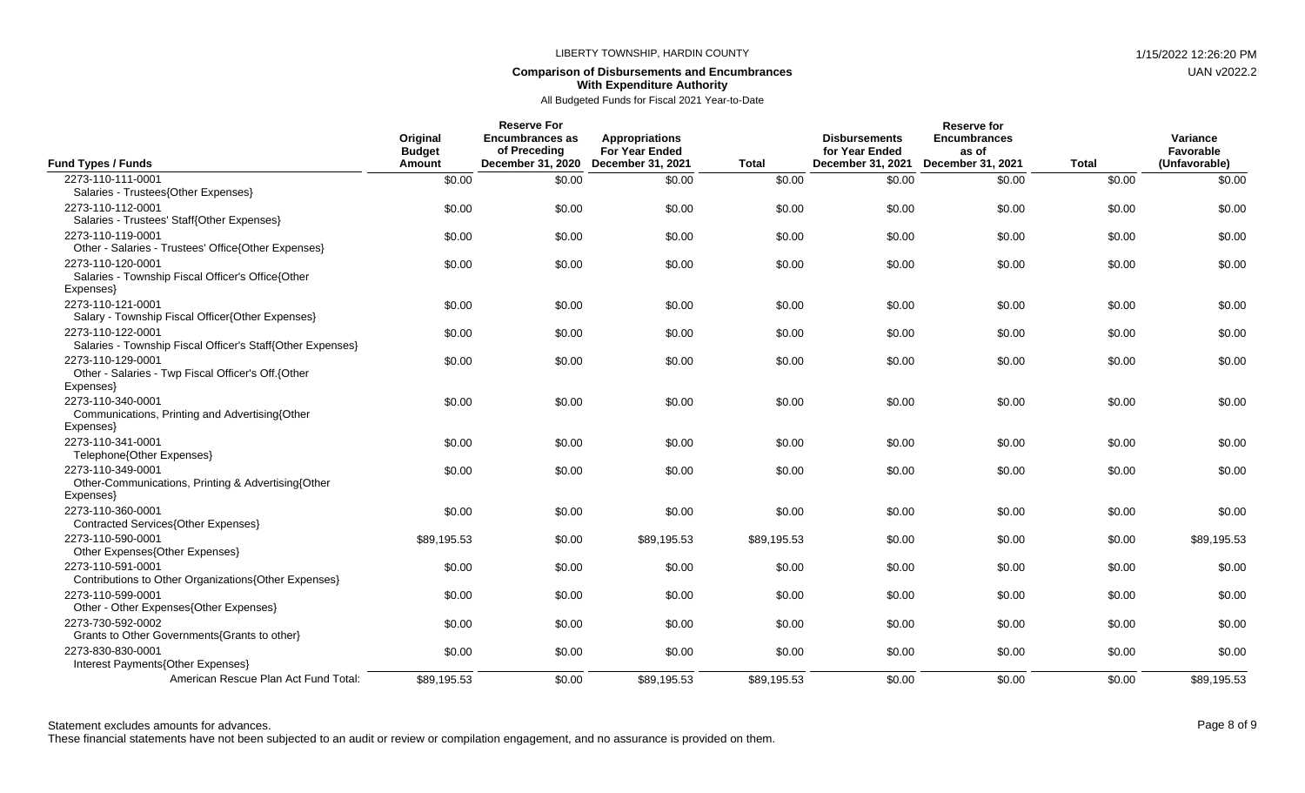### **Comparison of Disbursements and Encumbrances With Expenditure Authority**

| Fund Types / Funds                                             | Original<br><b>Budget</b><br>Amount | <b>Reserve For</b><br>Encumbrances as<br>of Preceding<br>December 31, 2020 | Appropriations<br><b>For Year Ended</b><br><b>December 31, 2021</b> | <b>Total</b> | <b>Disbursements</b><br>for Year Ended<br>December 31, 2021 | <b>Reserve for</b><br><b>Encumbrances</b><br>as of<br>December 31, 2021 | <b>Total</b> | Variance<br><b>Favorable</b><br>(Unfavorable) |
|----------------------------------------------------------------|-------------------------------------|----------------------------------------------------------------------------|---------------------------------------------------------------------|--------------|-------------------------------------------------------------|-------------------------------------------------------------------------|--------------|-----------------------------------------------|
| 2273-110-111-0001                                              | \$0.00                              | \$0.00                                                                     | \$0.00                                                              | \$0.00       | \$0.00                                                      | \$0.00                                                                  | \$0.00       | \$0.00                                        |
| Salaries - Trustees{Other Expenses}                            |                                     |                                                                            |                                                                     |              |                                                             |                                                                         |              |                                               |
| 2273-110-112-0001                                              | \$0.00                              | \$0.00                                                                     | \$0.00                                                              | \$0.00       | \$0.00                                                      | \$0.00                                                                  | \$0.00       | \$0.00                                        |
| Salaries - Trustees' Staff{Other Expenses}                     |                                     |                                                                            |                                                                     |              |                                                             |                                                                         |              |                                               |
| 2273-110-119-0001                                              | \$0.00                              | \$0.00                                                                     | \$0.00                                                              | \$0.00       | \$0.00                                                      | \$0.00                                                                  | \$0.00       | \$0.00                                        |
| Other - Salaries - Trustees' Office{Other Expenses}            |                                     |                                                                            |                                                                     |              |                                                             |                                                                         |              |                                               |
| 2273-110-120-0001                                              | \$0.00                              | \$0.00                                                                     | \$0.00                                                              | \$0.00       | \$0.00                                                      | \$0.00                                                                  | \$0.00       | \$0.00                                        |
| Salaries - Township Fiscal Officer's Office{Other              |                                     |                                                                            |                                                                     |              |                                                             |                                                                         |              |                                               |
| Expenses}<br>2273-110-121-0001                                 |                                     |                                                                            |                                                                     |              |                                                             |                                                                         |              |                                               |
| Salary - Township Fiscal Officer{Other Expenses}               | \$0.00                              | \$0.00                                                                     | \$0.00                                                              | \$0.00       | \$0.00                                                      | \$0.00                                                                  | \$0.00       | \$0.00                                        |
| 2273-110-122-0001                                              | \$0.00                              | \$0.00                                                                     | \$0.00                                                              | \$0.00       | \$0.00                                                      | \$0.00                                                                  | \$0.00       | \$0.00                                        |
| Salaries - Township Fiscal Officer's Staff{Other Expenses}     |                                     |                                                                            |                                                                     |              |                                                             |                                                                         |              |                                               |
| 2273-110-129-0001                                              | \$0.00                              | \$0.00                                                                     | \$0.00                                                              | \$0.00       | \$0.00                                                      | \$0.00                                                                  | \$0.00       | \$0.00                                        |
| Other - Salaries - Twp Fiscal Officer's Off.{Other             |                                     |                                                                            |                                                                     |              |                                                             |                                                                         |              |                                               |
| Expenses}                                                      |                                     |                                                                            |                                                                     |              |                                                             |                                                                         |              |                                               |
| 2273-110-340-0001                                              | \$0.00                              | \$0.00                                                                     | \$0.00                                                              | \$0.00       | \$0.00                                                      | \$0.00                                                                  | \$0.00       | \$0.00                                        |
| Communications, Printing and Advertising {Other                |                                     |                                                                            |                                                                     |              |                                                             |                                                                         |              |                                               |
| Expenses}                                                      |                                     |                                                                            |                                                                     |              |                                                             |                                                                         |              |                                               |
| 2273-110-341-0001                                              | \$0.00                              | \$0.00                                                                     | \$0.00                                                              | \$0.00       | \$0.00                                                      | \$0.00                                                                  | \$0.00       | \$0.00                                        |
| Telephone{Other Expenses}                                      |                                     |                                                                            |                                                                     |              |                                                             |                                                                         |              |                                               |
| 2273-110-349-0001                                              | \$0.00                              | \$0.00                                                                     | \$0.00                                                              | \$0.00       | \$0.00                                                      | \$0.00                                                                  | \$0.00       | \$0.00                                        |
| Other-Communications, Printing & Advertising{Other<br>Expenses |                                     |                                                                            |                                                                     |              |                                                             |                                                                         |              |                                               |
| 2273-110-360-0001                                              | \$0.00                              | \$0.00                                                                     | \$0.00                                                              | \$0.00       | \$0.00                                                      | \$0.00                                                                  | \$0.00       | \$0.00                                        |
| Contracted Services{Other Expenses}                            |                                     |                                                                            |                                                                     |              |                                                             |                                                                         |              |                                               |
| 2273-110-590-0001                                              | \$89,195.53                         | \$0.00                                                                     | \$89,195.53                                                         | \$89,195.53  | \$0.00                                                      | \$0.00                                                                  | \$0.00       | \$89,195.53                                   |
| Other Expenses{Other Expenses}                                 |                                     |                                                                            |                                                                     |              |                                                             |                                                                         |              |                                               |
| 2273-110-591-0001                                              | \$0.00                              | \$0.00                                                                     | \$0.00                                                              | \$0.00       | \$0.00                                                      | \$0.00                                                                  | \$0.00       | \$0.00                                        |
| Contributions to Other Organizations{Other Expenses}           |                                     |                                                                            |                                                                     |              |                                                             |                                                                         |              |                                               |
| 2273-110-599-0001                                              | \$0.00                              | \$0.00                                                                     | \$0.00                                                              | \$0.00       | \$0.00                                                      | \$0.00                                                                  | \$0.00       | \$0.00                                        |
| Other - Other Expenses{Other Expenses}                         |                                     |                                                                            |                                                                     |              |                                                             |                                                                         |              |                                               |
| 2273-730-592-0002                                              | \$0.00                              | \$0.00                                                                     | \$0.00                                                              | \$0.00       | \$0.00                                                      | \$0.00                                                                  | \$0.00       | \$0.00                                        |
| Grants to Other Governments{Grants to other}                   |                                     |                                                                            |                                                                     |              |                                                             |                                                                         |              |                                               |
| 2273-830-830-0001                                              | \$0.00                              | \$0.00                                                                     | \$0.00                                                              | \$0.00       | \$0.00                                                      | \$0.00                                                                  | \$0.00       | \$0.00                                        |
| Interest Payments{Other Expenses}                              |                                     |                                                                            |                                                                     |              |                                                             |                                                                         |              |                                               |
| American Rescue Plan Act Fund Total:                           | \$89,195.53                         | \$0.00                                                                     | \$89,195.53                                                         | \$89,195.53  | \$0.00                                                      | \$0.00                                                                  | \$0.00       | \$89,195.53                                   |

Statement excludes amounts for advances. The state of 9 and 20 and 20 and 20 and 20 and 20 and 20 and 20 and 20 and 20 and 20 and 20 and 20 and 20 and 20 and 20 and 20 and 20 and 20 and 20 and 20 and 20 and 20 and 20 and 2